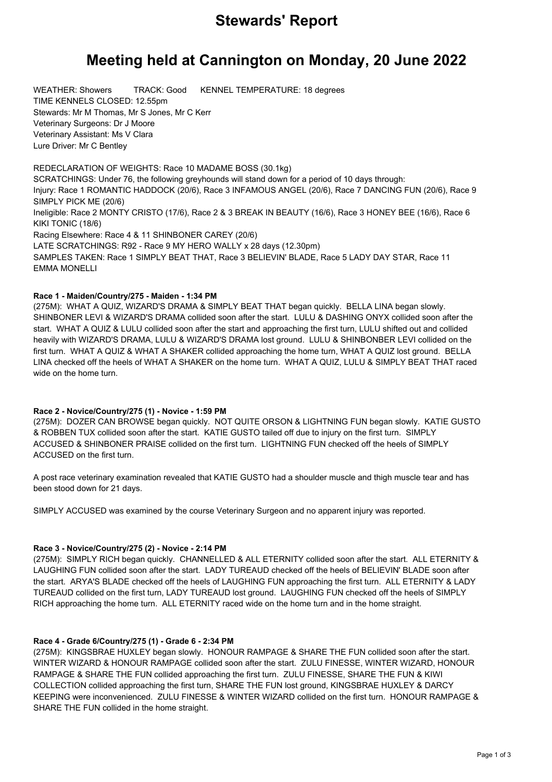# **Stewards' Report**

# **Meeting held at Cannington on Monday, 20 June 2022**

WEATHER: Showers TRACK: Good KENNEL TEMPERATURE: 18 degrees TIME KENNELS CLOSED: 12.55pm Stewards: Mr M Thomas, Mr S Jones, Mr C Kerr Veterinary Surgeons: Dr J Moore Veterinary Assistant: Ms V Clara Lure Driver: Mr C Bentley

REDECLARATION OF WEIGHTS: Race 10 MADAME BOSS (30.1kg) SCRATCHINGS: Under 76, the following greyhounds will stand down for a period of 10 days through: Injury: Race 1 ROMANTIC HADDOCK (20/6), Race 3 INFAMOUS ANGEL (20/6), Race 7 DANCING FUN (20/6), Race 9 SIMPLY PICK ME (20/6) Ineligible: Race 2 MONTY CRISTO (17/6), Race 2 & 3 BREAK IN BEAUTY (16/6), Race 3 HONEY BEE (16/6), Race 6 KIKI TONIC (18/6) Racing Elsewhere: Race 4 & 11 SHINBONER CAREY (20/6) LATE SCRATCHINGS: R92 - Race 9 MY HERO WALLY x 28 days (12.30pm) SAMPLES TAKEN: Race 1 SIMPLY BEAT THAT, Race 3 BELIEVIN' BLADE, Race 5 LADY DAY STAR, Race 11 EMMA MONELLI

## **Race 1 - Maiden/Country/275 - Maiden - 1:34 PM**

(275M): WHAT A QUIZ, WIZARD'S DRAMA & SIMPLY BEAT THAT began quickly. BELLA LINA began slowly. SHINBONER LEVI & WIZARD'S DRAMA collided soon after the start. LULU & DASHING ONYX collided soon after the start. WHAT A QUIZ & LULU collided soon after the start and approaching the first turn, LULU shifted out and collided heavily with WIZARD'S DRAMA, LULU & WIZARD'S DRAMA lost ground. LULU & SHINBONBER LEVI collided on the first turn. WHAT A QUIZ & WHAT A SHAKER collided approaching the home turn, WHAT A QUIZ lost ground. BELLA LINA checked off the heels of WHAT A SHAKER on the home turn. WHAT A QUIZ, LULU & SIMPLY BEAT THAT raced wide on the home turn.

#### **Race 2 - Novice/Country/275 (1) - Novice - 1:59 PM**

(275M): DOZER CAN BROWSE began quickly. NOT QUITE ORSON & LIGHTNING FUN began slowly. KATIE GUSTO & ROBBEN TUX collided soon after the start. KATIE GUSTO tailed off due to injury on the first turn. SIMPLY ACCUSED & SHINBONER PRAISE collided on the first turn. LIGHTNING FUN checked off the heels of SIMPLY ACCUSED on the first turn.

A post race veterinary examination revealed that KATIE GUSTO had a shoulder muscle and thigh muscle tear and has been stood down for 21 days.

SIMPLY ACCUSED was examined by the course Veterinary Surgeon and no apparent injury was reported.

### **Race 3 - Novice/Country/275 (2) - Novice - 2:14 PM**

(275M): SIMPLY RICH began quickly. CHANNELLED & ALL ETERNITY collided soon after the start. ALL ETERNITY & LAUGHING FUN collided soon after the start. LADY TUREAUD checked off the heels of BELIEVIN' BLADE soon after the start. ARYA'S BLADE checked off the heels of LAUGHING FUN approaching the first turn. ALL ETERNITY & LADY TUREAUD collided on the first turn, LADY TUREAUD lost ground. LAUGHING FUN checked off the heels of SIMPLY RICH approaching the home turn. ALL ETERNITY raced wide on the home turn and in the home straight.

### **Race 4 - Grade 6/Country/275 (1) - Grade 6 - 2:34 PM**

(275M): KINGSBRAE HUXLEY began slowly. HONOUR RAMPAGE & SHARE THE FUN collided soon after the start. WINTER WIZARD & HONOUR RAMPAGE collided soon after the start. ZULU FINESSE, WINTER WIZARD, HONOUR RAMPAGE & SHARE THE FUN collided approaching the first turn. ZULU FINESSE, SHARE THE FUN & KIWI COLLECTION collided approaching the first turn, SHARE THE FUN lost ground, KINGSBRAE HUXLEY & DARCY KEEPING were inconvenienced. ZULU FINESSE & WINTER WIZARD collided on the first turn. HONOUR RAMPAGE & SHARE THE FUN collided in the home straight.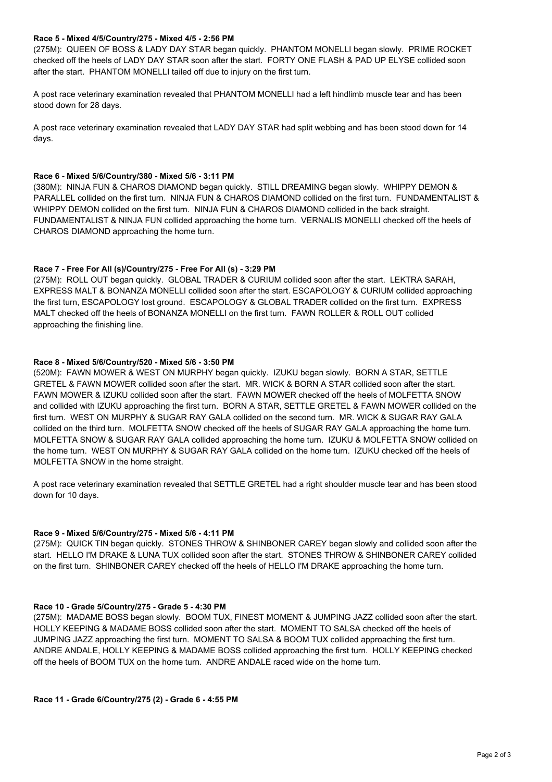#### **Race 5 - Mixed 4/5/Country/275 - Mixed 4/5 - 2:56 PM**

(275M): QUEEN OF BOSS & LADY DAY STAR began quickly. PHANTOM MONELLI began slowly. PRIME ROCKET checked off the heels of LADY DAY STAR soon after the start. FORTY ONE FLASH & PAD UP ELYSE collided soon after the start. PHANTOM MONELLI tailed off due to injury on the first turn.

A post race veterinary examination revealed that PHANTOM MONELLI had a left hindlimb muscle tear and has been stood down for 28 days.

A post race veterinary examination revealed that LADY DAY STAR had split webbing and has been stood down for 14 days.

#### **Race 6 - Mixed 5/6/Country/380 - Mixed 5/6 - 3:11 PM**

(380M): NINJA FUN & CHAROS DIAMOND began quickly. STILL DREAMING began slowly. WHIPPY DEMON & PARALLEL collided on the first turn. NINJA FUN & CHAROS DIAMOND collided on the first turn. FUNDAMENTALIST & WHIPPY DEMON collided on the first turn. NINJA FUN & CHAROS DIAMOND collided in the back straight. FUNDAMENTALIST & NINJA FUN collided approaching the home turn. VERNALIS MONELLI checked off the heels of CHAROS DIAMOND approaching the home turn.

#### **Race 7 - Free For All (s)/Country/275 - Free For All (s) - 3:29 PM**

(275M): ROLL OUT began quickly. GLOBAL TRADER & CURIUM collided soon after the start. LEKTRA SARAH, EXPRESS MALT & BONANZA MONELLI collided soon after the start. ESCAPOLOGY & CURIUM collided approaching the first turn, ESCAPOLOGY lost ground. ESCAPOLOGY & GLOBAL TRADER collided on the first turn. EXPRESS MALT checked off the heels of BONANZA MONELLI on the first turn. FAWN ROLLER & ROLL OUT collided approaching the finishing line.

#### **Race 8 - Mixed 5/6/Country/520 - Mixed 5/6 - 3:50 PM**

(520M): FAWN MOWER & WEST ON MURPHY began quickly. IZUKU began slowly. BORN A STAR, SETTLE GRETEL & FAWN MOWER collided soon after the start. MR. WICK & BORN A STAR collided soon after the start. FAWN MOWER & IZUKU collided soon after the start. FAWN MOWER checked off the heels of MOLFETTA SNOW and collided with IZUKU approaching the first turn. BORN A STAR, SETTLE GRETEL & FAWN MOWER collided on the first turn. WEST ON MURPHY & SUGAR RAY GALA collided on the second turn. MR. WICK & SUGAR RAY GALA collided on the third turn. MOLFETTA SNOW checked off the heels of SUGAR RAY GALA approaching the home turn. MOLFETTA SNOW & SUGAR RAY GALA collided approaching the home turn. IZUKU & MOLFETTA SNOW collided on the home turn. WEST ON MURPHY & SUGAR RAY GALA collided on the home turn. IZUKU checked off the heels of MOLFETTA SNOW in the home straight.

A post race veterinary examination revealed that SETTLE GRETEL had a right shoulder muscle tear and has been stood down for 10 days.

#### **Race 9 - Mixed 5/6/Country/275 - Mixed 5/6 - 4:11 PM**

(275M): QUICK TIN began quickly. STONES THROW & SHINBONER CAREY began slowly and collided soon after the start. HELLO I'M DRAKE & LUNA TUX collided soon after the start. STONES THROW & SHINBONER CAREY collided on the first turn. SHINBONER CAREY checked off the heels of HELLO I'M DRAKE approaching the home turn.

#### **Race 10 - Grade 5/Country/275 - Grade 5 - 4:30 PM**

(275M): MADAME BOSS began slowly. BOOM TUX, FINEST MOMENT & JUMPING JAZZ collided soon after the start. HOLLY KEEPING & MADAME BOSS collided soon after the start. MOMENT TO SALSA checked off the heels of JUMPING JAZZ approaching the first turn. MOMENT TO SALSA & BOOM TUX collided approaching the first turn. ANDRE ANDALE, HOLLY KEEPING & MADAME BOSS collided approaching the first turn. HOLLY KEEPING checked off the heels of BOOM TUX on the home turn. ANDRE ANDALE raced wide on the home turn.